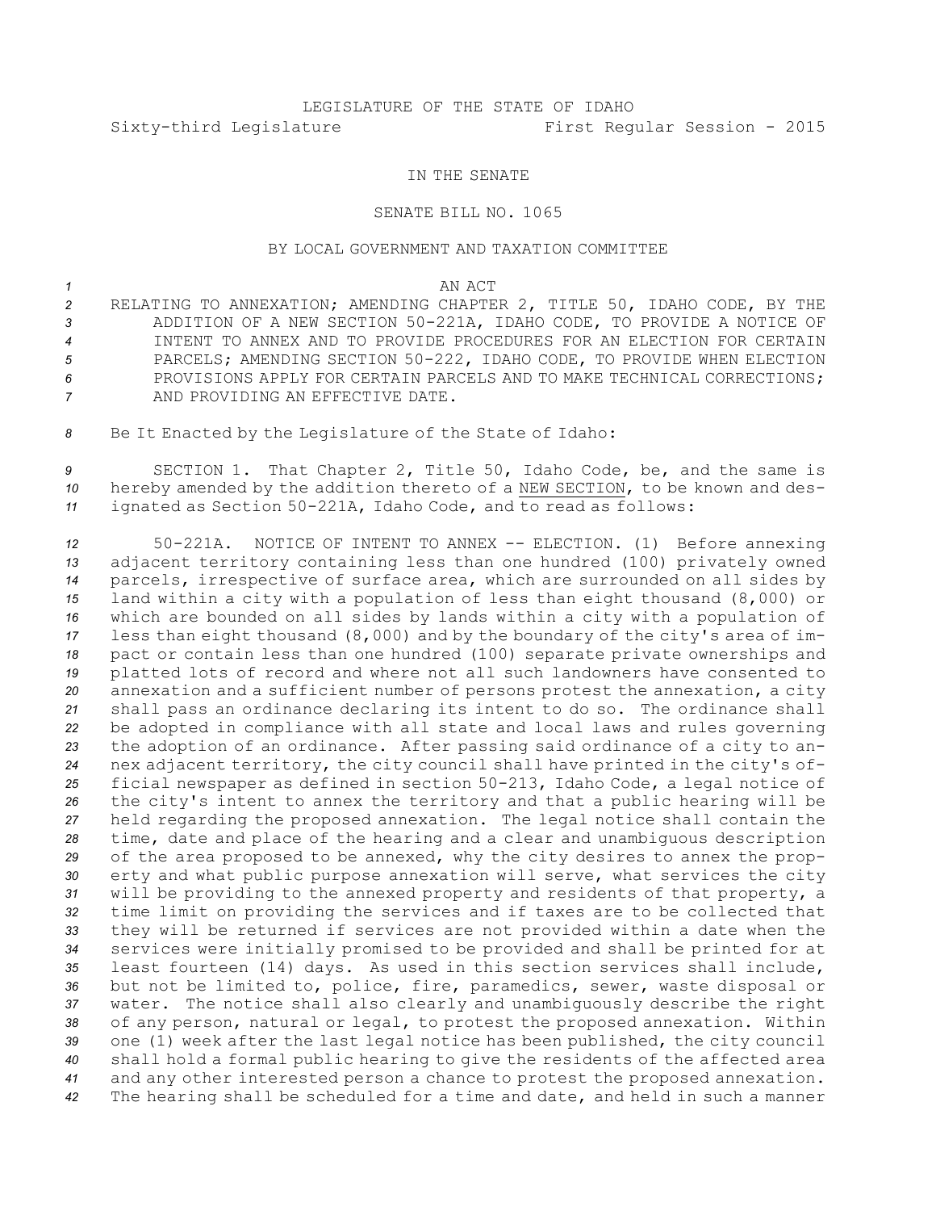# LEGISLATURE OF THE STATE OF IDAHO Sixty-third Legislature First Regular Session - 2015

### IN THE SENATE

#### SENATE BILL NO. 1065

## BY LOCAL GOVERNMENT AND TAXATION COMMITTEE

## *1* AN ACT

- *<sup>2</sup>* RELATING TO ANNEXATION; AMENDING CHAPTER 2, TITLE 50, IDAHO CODE, BY THE *<sup>3</sup>* ADDITION OF A NEW SECTION 50-221A, IDAHO CODE, TO PROVIDE A NOTICE OF *4* INTENT TO ANNEX AND TO PROVIDE PROCEDURES FOR AN ELECTION FOR CERTAIN *<sup>5</sup>* PARCELS; AMENDING SECTION 50-222, IDAHO CODE, TO PROVIDE WHEN ELECTION *6* PROVISIONS APPLY FOR CERTAIN PARCELS AND TO MAKE TECHNICAL CORRECTIONS; *7* AND PROVIDING AN EFFECTIVE DATE.
- *<sup>8</sup>* Be It Enacted by the Legislature of the State of Idaho:

*<sup>9</sup>* SECTION 1. That Chapter 2, Title 50, Idaho Code, be, and the same is *<sup>10</sup>* hereby amended by the addition thereto of <sup>a</sup> NEW SECTION, to be known and des-*<sup>11</sup>* ignated as Section 50-221A, Idaho Code, and to read as follows:

 50-221A. NOTICE OF INTENT TO ANNEX -- ELECTION. (1) Before annexing adjacent territory containing less than one hundred (100) privately owned parcels, irrespective of surface area, which are surrounded on all sides by land within <sup>a</sup> city with <sup>a</sup> population of less than eight thousand (8,000) or which are bounded on all sides by lands within <sup>a</sup> city with <sup>a</sup> population of less than eight thousand (8,000) and by the boundary of the city's area of im- pact or contain less than one hundred (100) separate private ownerships and platted lots of record and where not all such landowners have consented to annexation and <sup>a</sup> sufficient number of persons protest the annexation, <sup>a</sup> city shall pass an ordinance declaring its intent to do so. The ordinance shall be adopted in compliance with all state and local laws and rules governing the adoption of an ordinance. After passing said ordinance of <sup>a</sup> city to an- nex adjacent territory, the city council shall have printed in the city's of- ficial newspaper as defined in section 50-213, Idaho Code, <sup>a</sup> legal notice of the city's intent to annex the territory and that <sup>a</sup> public hearing will be held regarding the proposed annexation. The legal notice shall contain the time, date and place of the hearing and <sup>a</sup> clear and unambiguous description of the area proposed to be annexed, why the city desires to annex the prop- erty and what public purpose annexation will serve, what services the city will be providing to the annexed property and residents of that property, <sup>a</sup> time limit on providing the services and if taxes are to be collected that they will be returned if services are not provided within <sup>a</sup> date when the services were initially promised to be provided and shall be printed for at least fourteen (14) days. As used in this section services shall include, but not be limited to, police, fire, paramedics, sewer, waste disposal or water. The notice shall also clearly and unambiguously describe the right of any person, natural or legal, to protest the proposed annexation. Within one (1) week after the last legal notice has been published, the city council shall hold <sup>a</sup> formal public hearing to give the residents of the affected area and any other interested person <sup>a</sup> chance to protest the proposed annexation. The hearing shall be scheduled for <sup>a</sup> time and date, and held in such <sup>a</sup> manner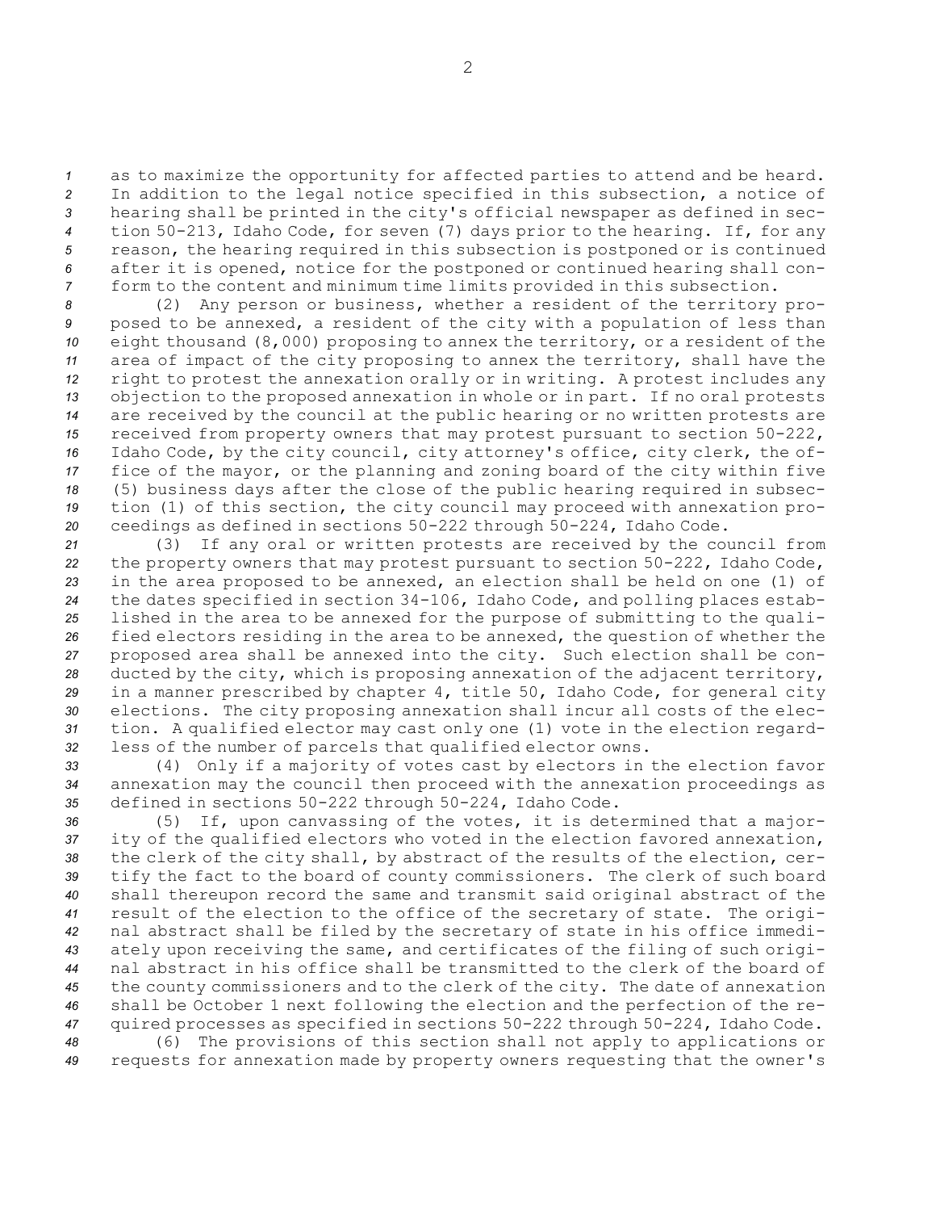as to maximize the opportunity for affected parties to attend and be heard. In addition to the legal notice specified in this subsection, <sup>a</sup> notice of hearing shall be printed in the city's official newspaper as defined in sec- tion 50-213, Idaho Code, for seven (7) days prior to the hearing. If, for any reason, the hearing required in this subsection is postponed or is continued after it is opened, notice for the postponed or continued hearing shall con-form to the content and minimum time limits provided in this subsection.

 (2) Any person or business, whether <sup>a</sup> resident of the territory pro- posed to be annexed, <sup>a</sup> resident of the city with <sup>a</sup> population of less than eight thousand (8,000) proposing to annex the territory, or <sup>a</sup> resident of the area of impact of the city proposing to annex the territory, shall have the right to protest the annexation orally or in writing. <sup>A</sup> protest includes any objection to the proposed annexation in whole or in part. If no oral protests are received by the council at the public hearing or no written protests are received from property owners that may protest pursuant to section 50-222, Idaho Code, by the city council, city attorney's office, city clerk, the of- fice of the mayor, or the planning and zoning board of the city within five (5) business days after the close of the public hearing required in subsec- tion (1) of this section, the city council may proceed with annexation pro-ceedings as defined in sections 50-222 through 50-224, Idaho Code.

 (3) If any oral or written protests are received by the council from the property owners that may protest pursuant to section 50-222, Idaho Code, in the area proposed to be annexed, an election shall be held on one (1) of the dates specified in section 34-106, Idaho Code, and polling places estab- lished in the area to be annexed for the purpose of submitting to the quali- fied electors residing in the area to be annexed, the question of whether the proposed area shall be annexed into the city. Such election shall be con- ducted by the city, which is proposing annexation of the adjacent territory, in <sup>a</sup> manner prescribed by chapter 4, title 50, Idaho Code, for general city elections. The city proposing annexation shall incur all costs of the elec- tion. <sup>A</sup> qualified elector may cast only one (1) vote in the election regard-less of the number of parcels that qualified elector owns.

*<sup>33</sup>* (4) Only if <sup>a</sup> majority of votes cast by electors in the election favor *<sup>34</sup>* annexation may the council then proceed with the annexation proceedings as *<sup>35</sup>* defined in sections 50-222 through 50-224, Idaho Code.

 (5) If, upon canvassing of the votes, it is determined that <sup>a</sup> major- ity of the qualified electors who voted in the election favored annexation, the clerk of the city shall, by abstract of the results of the election, cer- tify the fact to the board of county commissioners. The clerk of such board shall thereupon record the same and transmit said original abstract of the result of the election to the office of the secretary of state. The origi- nal abstract shall be filed by the secretary of state in his office immedi- ately upon receiving the same, and certificates of the filing of such origi- nal abstract in his office shall be transmitted to the clerk of the board of the county commissioners and to the clerk of the city. The date of annexation shall be October 1 next following the election and the perfection of the re- quired processes as specified in sections 50-222 through 50-224, Idaho Code. (6) The provisions of this section shall not apply to applications or

*<sup>49</sup>* requests for annexation made by property owners requesting that the owner's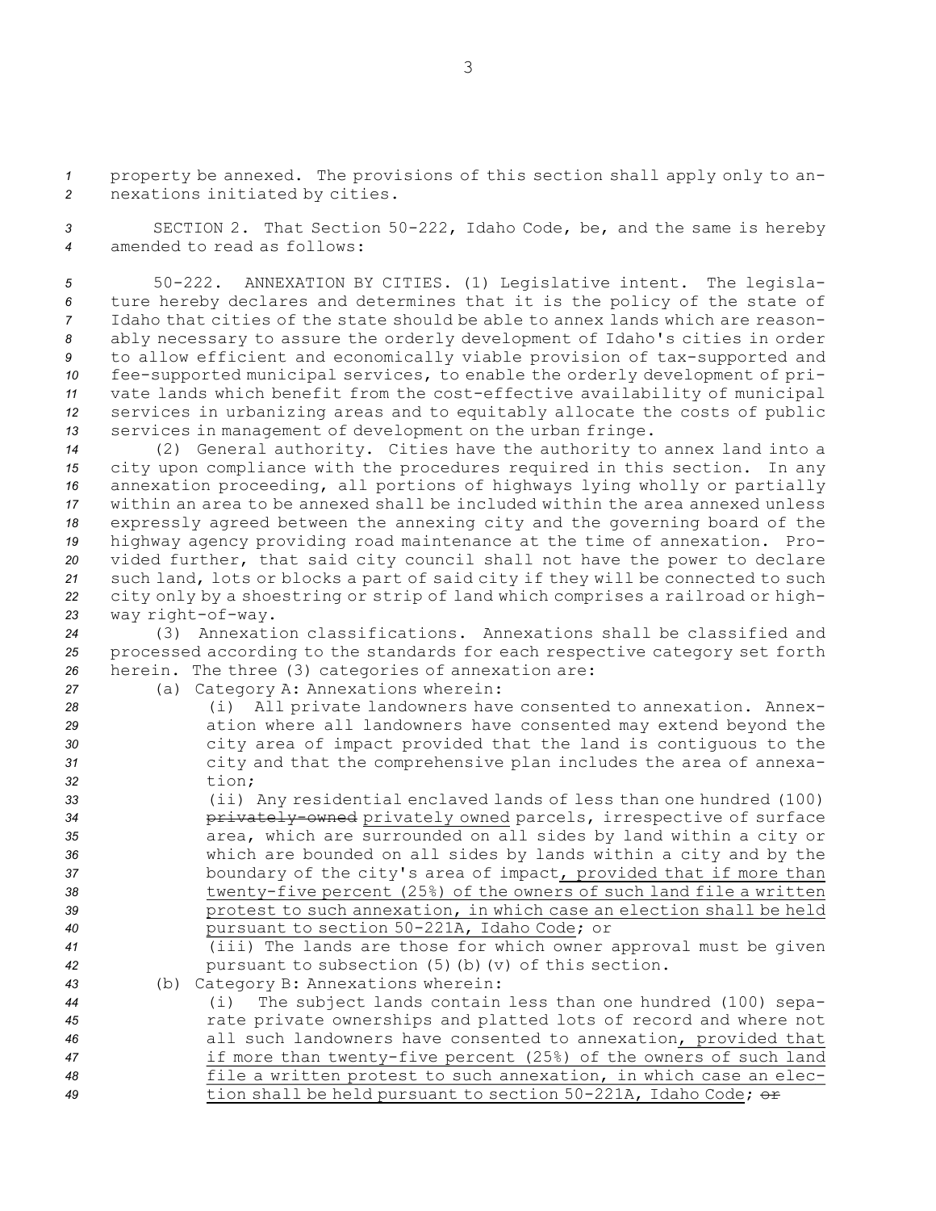*<sup>1</sup>* property be annexed. The provisions of this section shall apply only to an-*<sup>2</sup>* nexations initiated by cities.

*<sup>3</sup>* SECTION 2. That Section 50-222, Idaho Code, be, and the same is hereby *4* amended to read as follows:

 50-222. ANNEXATION BY CITIES. (1) Legislative intent. The legisla- ture hereby declares and determines that it is the policy of the state of Idaho that cities of the state should be able to annex lands which are reason- ably necessary to assure the orderly development of Idaho's cities in order to allow efficient and economically viable provision of tax-supported and fee-supported municipal services, to enable the orderly development of pri- vate lands which benefit from the cost-effective availability of municipal services in urbanizing areas and to equitably allocate the costs of public services in management of development on the urban fringe.

 (2) General authority. Cities have the authority to annex land into <sup>a</sup> city upon compliance with the procedures required in this section. In any annexation proceeding, all portions of highways lying wholly or partially within an area to be annexed shall be included within the area annexed unless expressly agreed between the annexing city and the governing board of the highway agency providing road maintenance at the time of annexation. Pro- vided further, that said city council shall not have the power to declare such land, lots or blocks <sup>a</sup> part of said city if they will be connected to such city only by <sup>a</sup> shoestring or strip of land which comprises <sup>a</sup> railroad or high-way right-of-way.

*<sup>24</sup>* (3) Annexation classifications. Annexations shall be classified and *<sup>25</sup>* processed according to the standards for each respective category set forth *<sup>26</sup>* herein. The three (3) categories of annexation are:

*<sup>27</sup>* (a) Category A: Annexations wherein:

| 28 | (i) All private landowners have consented to annexation. Annex-   |
|----|-------------------------------------------------------------------|
| 29 | ation where all landowners have consented may extend beyond the   |
| 30 | city area of impact provided that the land is contiquous to the   |
| 31 | city and that the comprehensive plan includes the area of annexa- |
| 32 | tion;                                                             |

 (ii) Any residential enclaved lands of less than one hundred (100) **privately-owned** privately owned parcels, irrespective of surface area, which are surrounded on all sides by land within <sup>a</sup> city or which are bounded on all sides by lands within <sup>a</sup> city and by the boundary of the city's area of impact, provided that if more than twenty-five percent (25%) of the owners of such land file <sup>a</sup> written protest to such annexation, in which case an election shall be held pursuant to section 50-221A, Idaho Code; or

- *<sup>41</sup>* (iii) The lands are those for which owner approval must be given *<sup>42</sup>* pursuant to subsection (5)(b)(v) of this section.
- *<sup>43</sup>* (b) Category B: Annexations wherein:

 (i) The subject lands contain less than one hundred (100) sepa- rate private ownerships and platted lots of record and where not all such landowners have consented to annexation, provided that if more than twenty-five percent (25%) of the owners of such land file <sup>a</sup> written protest to such annexation, in which case an elec-tion shall be held pursuant to section 50-221A, Idaho Code; or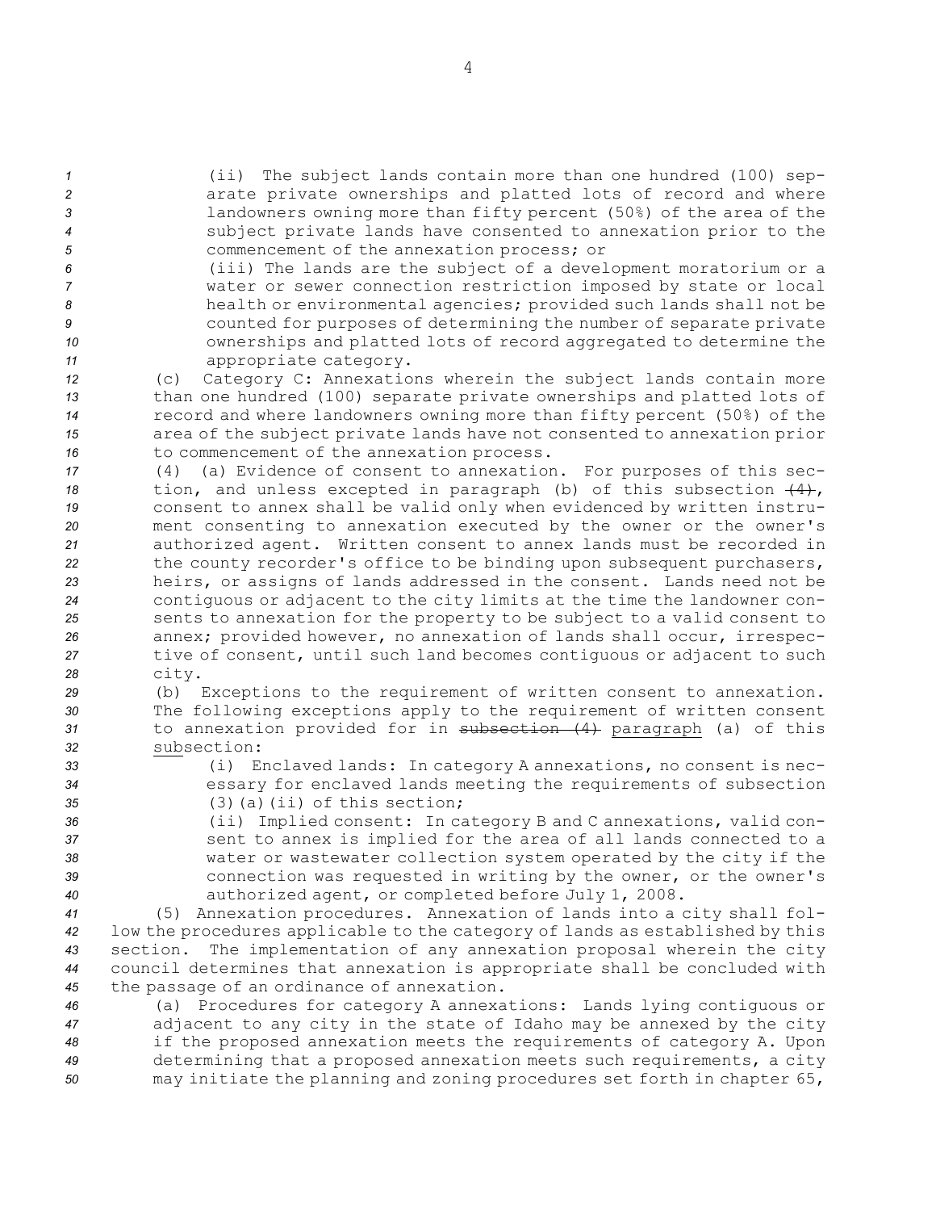(ii) The subject lands contain more than one hundred (100) sep-**2 arate private ownerships and platted lots of record and where**  landowners owning more than fifty percent (50%) of the area of the subject private lands have consented to annexation prior to the commencement of the annexation process; or

 (iii) The lands are the subject of <sup>a</sup> development moratorium or <sup>a</sup> water or sewer connection restriction imposed by state or local health or environmental agencies; provided such lands shall not be counted for purposes of determining the number of separate private ownerships and platted lots of record aggregated to determine the appropriate category.

 (c) Category C: Annexations wherein the subject lands contain more than one hundred (100) separate private ownerships and platted lots of record and where landowners owning more than fifty percent (50%) of the area of the subject private lands have not consented to annexation prior 16 to commencement of the annexation process.

 (4) (a) Evidence of consent to annexation. For purposes of this sec- tion, and unless excepted in paragraph (b) of this subsection (4), consent to annex shall be valid only when evidenced by written instru- ment consenting to annexation executed by the owner or the owner's authorized agent. Written consent to annex lands must be recorded in the county recorder's office to be binding upon subsequent purchasers, heirs, or assigns of lands addressed in the consent. Lands need not be contiguous or adjacent to the city limits at the time the landowner con- sents to annexation for the property to be subject to <sup>a</sup> valid consent to annex; provided however, no annexation of lands shall occur, irrespec- tive of consent, until such land becomes contiguous or adjacent to such *<sup>28</sup>* city.

 (b) Exceptions to the requirement of written consent to annexation. The following exceptions apply to the requirement of written consent to annexation provided for in subsection (4) paragraph (a) of this subsection:

*<sup>33</sup>* (i) Enclaved lands: In category <sup>A</sup> annexations, no consent is nec-*<sup>34</sup>* essary for enclaved lands meeting the requirements of subsection *35* (3)(a)(ii) of this section;

 (ii) Implied consent: In category <sup>B</sup> and C annexations, valid con- sent to annex is implied for the area of all lands connected to <sup>a</sup> water or wastewater collection system operated by the city if the connection was requested in writing by the owner, or the owner's authorized agent, or completed before July 1, 2008.

 (5) Annexation procedures. Annexation of lands into <sup>a</sup> city shall fol- low the procedures applicable to the category of lands as established by this section. The implementation of any annexation proposal wherein the city council determines that annexation is appropriate shall be concluded with the passage of an ordinance of annexation.

 (a) Procedures for category <sup>A</sup> annexations: Lands lying contiguous or adjacent to any city in the state of Idaho may be annexed by the city if the proposed annexation meets the requirements of category A. Upon determining that <sup>a</sup> proposed annexation meets such requirements, <sup>a</sup> city may initiate the planning and zoning procedures set forth in chapter 65,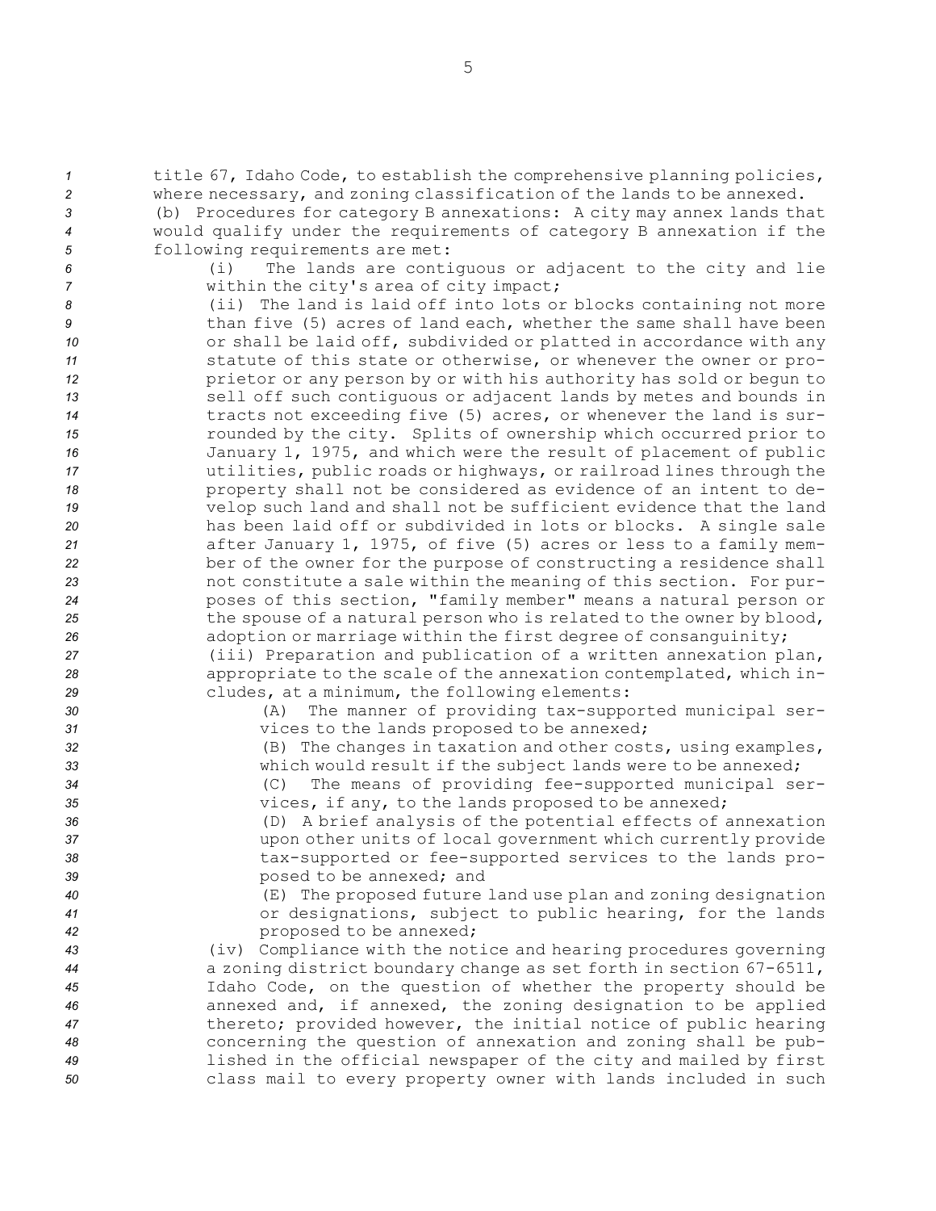*<sup>1</sup>* title 67, Idaho Code, to establish the comprehensive planning policies, *<sup>2</sup>* where necessary, and zoning classification of the lands to be annexed.

*<sup>3</sup>* (b) Procedures for category <sup>B</sup> annexations: <sup>A</sup> city may annex lands that *<sup>4</sup>* would qualify under the requirements of category <sup>B</sup> annexation if the *<sup>5</sup>* following requirements are met:

*<sup>6</sup>* (i) The lands are contiguous or adjacent to the city and lie *<sup>7</sup>* within the city's area of city impact;

 (ii) The land is laid off into lots or blocks containing not more **18** than five (5) acres of land each, whether the same shall have been **10** or shall be laid off, subdivided or platted in accordance with any statute of this state or otherwise, or whenever the owner or pro-**prietor or any person by or with his authority has sold or begun to**  sell off such contiguous or adjacent lands by metes and bounds in tracts not exceeding five (5) acres, or whenever the land is sur- rounded by the city. Splits of ownership which occurred prior to January 1, 1975, and which were the result of placement of public utilities, public roads or highways, or railroad lines through the property shall not be considered as evidence of an intent to de- velop such land and shall not be sufficient evidence that the land has been laid off or subdivided in lots or blocks. <sup>A</sup> single sale after January 1, 1975, of five (5) acres or less to <sup>a</sup> family mem- ber of the owner for the purpose of constructing <sup>a</sup> residence shall not constitute <sup>a</sup> sale within the meaning of this section. For pur- poses of this section, "family member" means <sup>a</sup> natural person or the spouse of <sup>a</sup> natural person who is related to the owner by blood, **and adoption or marriage within the first degree of consanguinity;** (iii) Preparation and publication of <sup>a</sup> written annexation plan,

*<sup>28</sup>* appropriate to the scale of the annexation contemplated, which in-*<sup>29</sup>* cludes, at <sup>a</sup> minimum, the following elements:

*<sup>30</sup>* (A) The manner of providing tax-supported municipal ser-*<sup>31</sup>* vices to the lands proposed to be annexed;

*<sup>32</sup>* (B) The changes in taxation and other costs, using examples, *<sup>33</sup>* which would result if the subject lands were to be annexed;

*<sup>34</sup>* (C) The means of providing fee-supported municipal ser-*<sup>35</sup>* vices, if any, to the lands proposed to be annexed;

 (D) <sup>A</sup> brief analysis of the potential effects of annexation upon other units of local government which currently provide tax-supported or fee-supported services to the lands pro-posed to be annexed; and

*<sup>40</sup>* (E) The proposed future land use plan and zoning designation *<sup>41</sup>* or designations, subject to public hearing, for the lands *<sup>42</sup>* proposed to be annexed;

 (iv) Compliance with the notice and hearing procedures governing <sup>a</sup> zoning district boundary change as set forth in section 67-6511, Idaho Code, on the question of whether the property should be annexed and, if annexed, the zoning designation to be applied thereto; provided however, the initial notice of public hearing concerning the question of annexation and zoning shall be pub- lished in the official newspaper of the city and mailed by first class mail to every property owner with lands included in such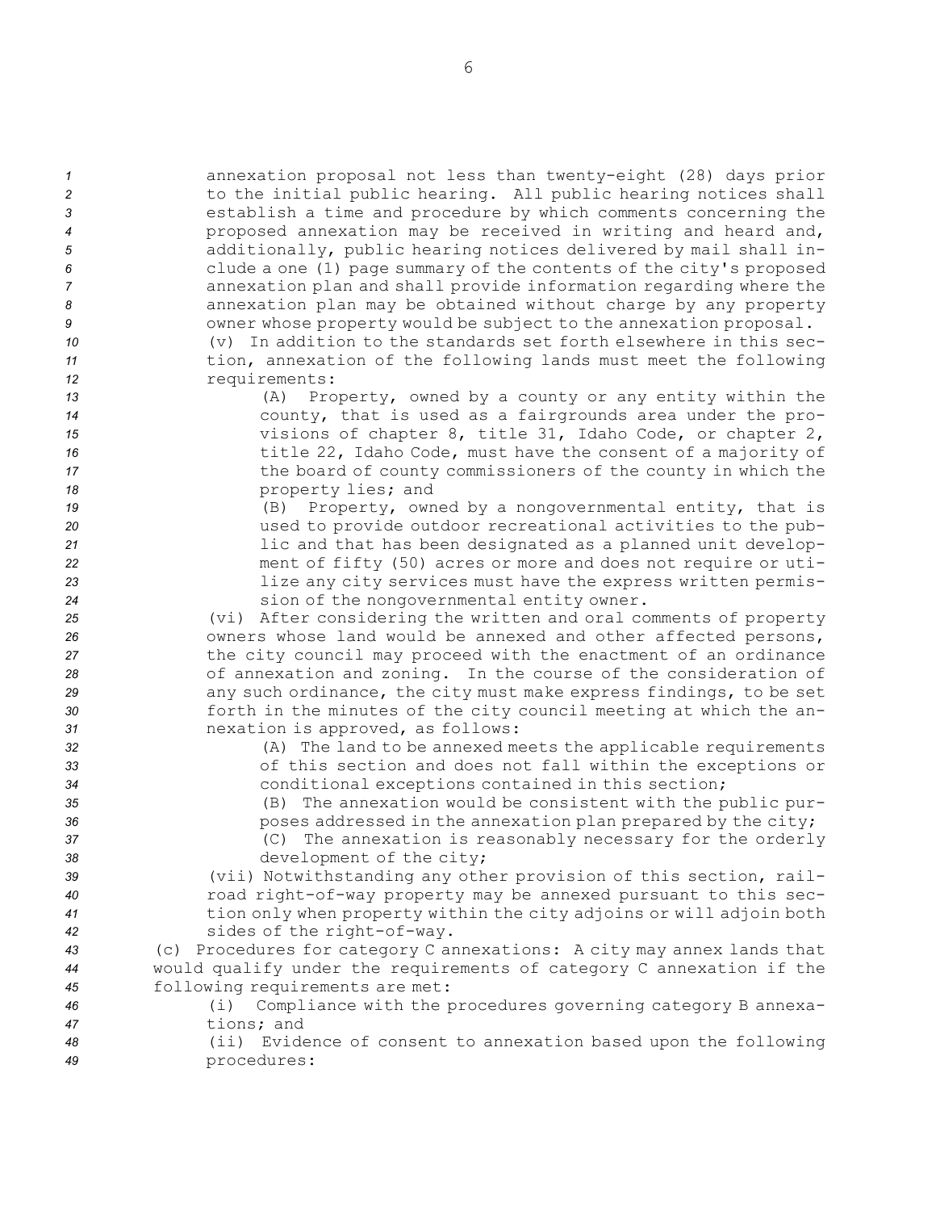| $\mathcal{I}$ | annexation proposal not less than twenty-eight (28) days prior                                                                |
|---------------|-------------------------------------------------------------------------------------------------------------------------------|
| 2             | to the initial public hearing. All public hearing notices shall                                                               |
| 3             | establish a time and procedure by which comments concerning the                                                               |
| 4             | proposed annexation may be received in writing and heard and,                                                                 |
| 5             | additionally, public hearing notices delivered by mail shall in-                                                              |
| 6             | clude a one (1) page summary of the contents of the city's proposed                                                           |
| 7             | annexation plan and shall provide information regarding where the                                                             |
| 8             | annexation plan may be obtained without charge by any property                                                                |
| 9             | owner whose property would be subject to the annexation proposal.                                                             |
| 10            | (v) In addition to the standards set forth elsewhere in this sec-                                                             |
| 11            | tion, annexation of the following lands must meet the following                                                               |
| 12            | requirements:                                                                                                                 |
| 13            | (A) Property, owned by a county or any entity within the                                                                      |
| 14            | county, that is used as a fairgrounds area under the pro-                                                                     |
| 15            | visions of chapter 8, title 31, Idaho Code, or chapter 2,                                                                     |
| 16            | title 22, Idaho Code, must have the consent of a majority of                                                                  |
| 17            | the board of county commissioners of the county in which the                                                                  |
| 18            | property lies; and                                                                                                            |
| 19            | (B) Property, owned by a nongovernmental entity, that is                                                                      |
| 20            | used to provide outdoor recreational activities to the pub-                                                                   |
| 21            | lic and that has been designated as a planned unit develop-                                                                   |
| 22            | ment of fifty (50) acres or more and does not require or uti-<br>lize any city services must have the express written permis- |
| 23<br>24      | sion of the nongovernmental entity owner.                                                                                     |
| 25            | (vi) After considering the written and oral comments of property                                                              |
| 26            | owners whose land would be annexed and other affected persons,                                                                |
| 27            | the city council may proceed with the enactment of an ordinance                                                               |
| 28            | of annexation and zoning. In the course of the consideration of                                                               |
| 29            | any such ordinance, the city must make express findings, to be set                                                            |
| 30            | forth in the minutes of the city council meeting at which the an-                                                             |
| 31            | nexation is approved, as follows:                                                                                             |
| 32            | (A) The land to be annexed meets the applicable requirements                                                                  |
| 33            | of this section and does not fall within the exceptions or                                                                    |
| 34            | conditional exceptions contained in this section;                                                                             |
| 35            | (B) The annexation would be consistent with the public pur-                                                                   |
| 36            | poses addressed in the annexation plan prepared by the city;                                                                  |
| 37            | (C) The annexation is reasonably necessary for the orderly                                                                    |
| 38            | development of the city;                                                                                                      |
| 39            | (vii) Notwithstanding any other provision of this section, rail-                                                              |
| 40            | road right-of-way property may be annexed pursuant to this sec-                                                               |
| 41            | tion only when property within the city adjoins or will adjoin both                                                           |
| 42            | sides of the right-of-way.                                                                                                    |
| 43            | (c) Procedures for category C annexations: A city may annex lands that                                                        |
| 44            | would qualify under the requirements of category C annexation if the                                                          |
| 45            | following requirements are met:                                                                                               |
| 46            | Compliance with the procedures governing category B annexa-<br>(i)                                                            |
| 47            | tions; and                                                                                                                    |
| 48            | (ii) Evidence of consent to annexation based upon the following                                                               |
| 49            | procedures:                                                                                                                   |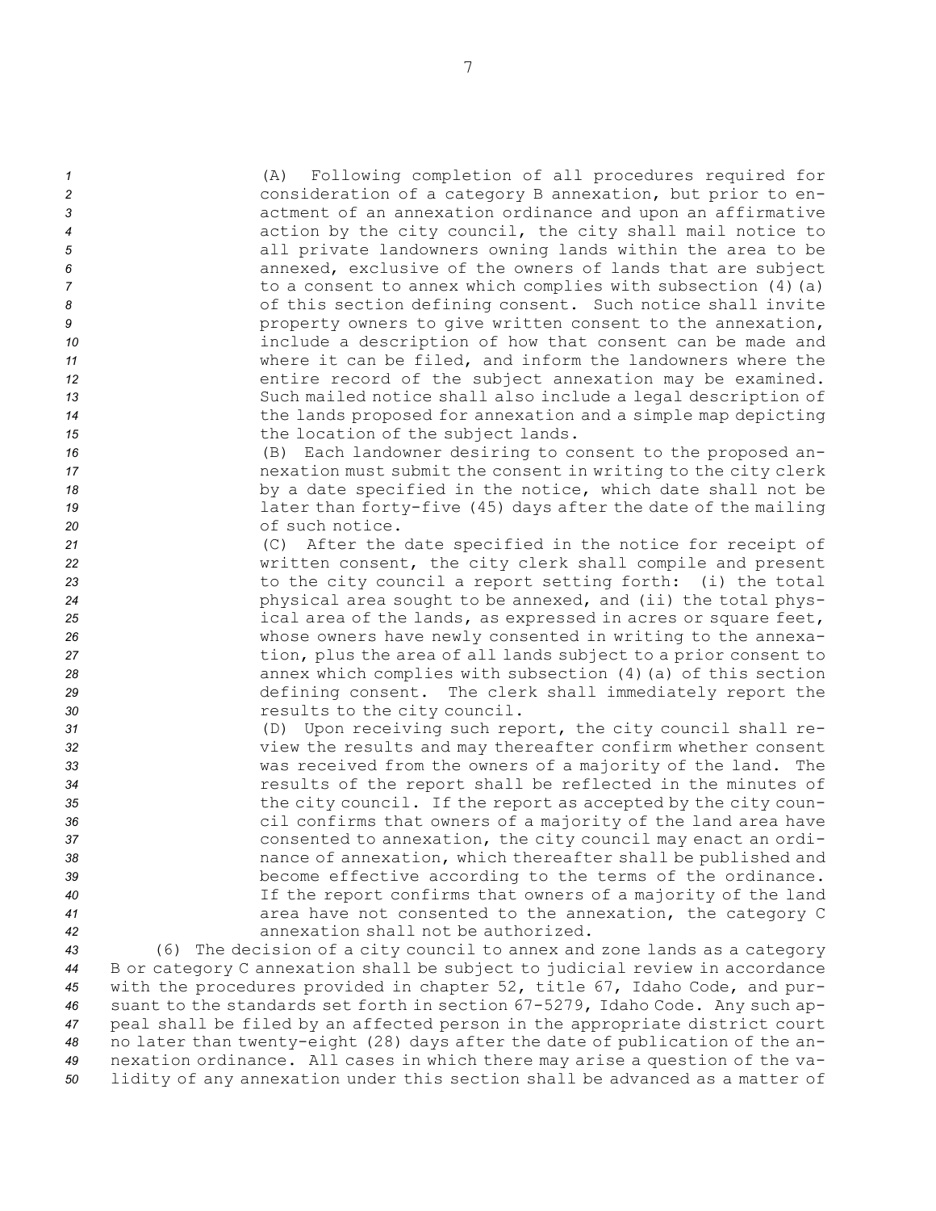(A) Following completion of all procedures required for consideration of <sup>a</sup> category <sup>B</sup> annexation, but prior to en- actment of an annexation ordinance and upon an affirmative action by the city council, the city shall mail notice to all private landowners owning lands within the area to be annexed, exclusive of the owners of lands that are subject to a consent to annex which complies with subsection (4)(a) 8 of this section defining consent. Such notice shall invite **9** property owners to give written consent to the annexation, include <sup>a</sup> description of how that consent can be made and where it can be filed, and inform the landowners where the **12** entire record of the subject annexation may be examined. Such mailed notice shall also include <sup>a</sup> legal description of the lands proposed for annexation and <sup>a</sup> simple map depicting 15 the location of the subject lands.

 (B) Each landowner desiring to consent to the proposed an- nexation must submit the consent in writing to the city clerk by <sup>a</sup> date specified in the notice, which date shall not be later than forty-five (45) days after the date of the mailing of such notice.

 (C) After the date specified in the notice for receipt of written consent, the city clerk shall compile and present to the city council <sup>a</sup> report setting forth: (i) the total physical area sought to be annexed, and (ii) the total phys- ical area of the lands, as expressed in acres or square feet, whose owners have newly consented in writing to the annexa- tion, plus the area of all lands subject to <sup>a</sup> prior consent to annex which complies with subsection (4)(a) of this section defining consent. The clerk shall immediately report the results to the city council.

 (D) Upon receiving such report, the city council shall re- view the results and may thereafter confirm whether consent was received from the owners of <sup>a</sup> majority of the land. The results of the report shall be reflected in the minutes of the city council. If the report as accepted by the city coun- cil confirms that owners of <sup>a</sup> majority of the land area have consented to annexation, the city council may enact an ordi- nance of annexation, which thereafter shall be published and become effective according to the terms of the ordinance. If the report confirms that owners of <sup>a</sup> majority of the land area have not consented to the annexation, the category C annexation shall not be authorized.

 (6) The decision of <sup>a</sup> city council to annex and zone lands as <sup>a</sup> category <sup>B</sup> or category C annexation shall be subject to judicial review in accordance with the procedures provided in chapter 52, title 67, Idaho Code, and pur- suant to the standards set forth in section 67-5279, Idaho Code. Any such ap- peal shall be filed by an affected person in the appropriate district court no later than twenty-eight (28) days after the date of publication of the an- nexation ordinance. All cases in which there may arise <sup>a</sup> question of the va-lidity of any annexation under this section shall be advanced as <sup>a</sup> matter of